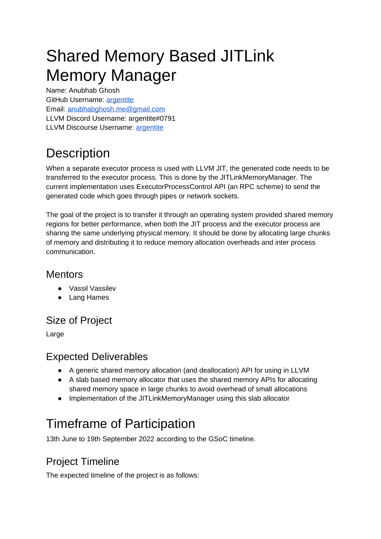# Shared Memory Based JITLink Memory Manager

Name: Anubhab Ghosh GitHub Username: [argentite](https://github.com/argentite) Email: [anubhabghosh.me@gmail.com](mailto:anubhabghosh.me@gmail.com) LLVM Discord Username: argentite#0791 LLVM Discourse Username: [argentite](https://discourse.llvm.org/u/argentite)

## **Description**

When a separate executor process is used with LLVM JIT, the generated code needs to be transferred to the executor process. This is done by the JITLinkMemoryManager. The current implementation uses ExecutorProcessControl API (an RPC scheme) to send the generated code which goes through pipes or network sockets.

The goal of the project is to transfer it through an operating system provided shared memory regions for better performance, when both the JIT process and the executor process are sharing the same underlying physical memory. It should be done by allocating large chunks of memory and distributing it to reduce memory allocation overheads and inter process communication.

### Mentors

- Vassil Vassilev
- Lang Hames

## Size of Project

Large

### Expected Deliverables

- A generic shared memory allocation (and deallocation) API for using in LLVM
- A slab based memory allocator that uses the shared memory APIs for allocating shared memory space in large chunks to avoid overhead of small allocations
- Implementation of the JITLinkMemoryManager using this slab allocator

## Timeframe of Participation

13th June to 19th September 2022 according to the GSoC timeline.

## Project Timeline

The expected timeline of the project is as follows: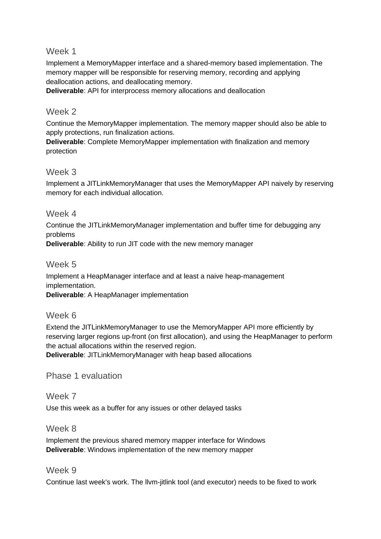#### Week 1

Implement a MemoryMapper interface and a shared-memory based implementation. The memory mapper will be responsible for reserving memory, recording and applying deallocation actions, and deallocating memory.

**Deliverable**: API for interprocess memory allocations and deallocation

#### Week 2

Continue the MemoryMapper implementation. The memory mapper should also be able to apply protections, run finalization actions.

**Deliverable**: Complete MemoryMapper implementation with finalization and memory protection

#### Week 3

Implement a JITLinkMemoryManager that uses the MemoryMapper API naively by reserving memory for each individual allocation.

#### Week 4

Continue the JITLinkMemoryManager implementation and buffer time for debugging any problems

**Deliverable**: Ability to run JIT code with the new memory manager

#### Week 5

Implement a HeapManager interface and at least a naive heap-management implementation.

**Deliverable**: A HeapManager implementation

#### Week 6

Extend the JITLinkMemoryManager to use the MemoryMapper API more efficiently by reserving larger regions up-front (on first allocation), and using the HeapManager to perform the actual allocations within the reserved region.

**Deliverable**: JITLinkMemoryManager with heap based allocations

#### Phase 1 evaluation

#### Week 7

Use this week as a buffer for any issues or other delayed tasks

#### Week 8

Implement the previous shared memory mapper interface for Windows **Deliverable**: Windows implementation of the new memory mapper

#### Week 9

Continue last week's work. The llvm-jitlink tool (and executor) needs to be fixed to work